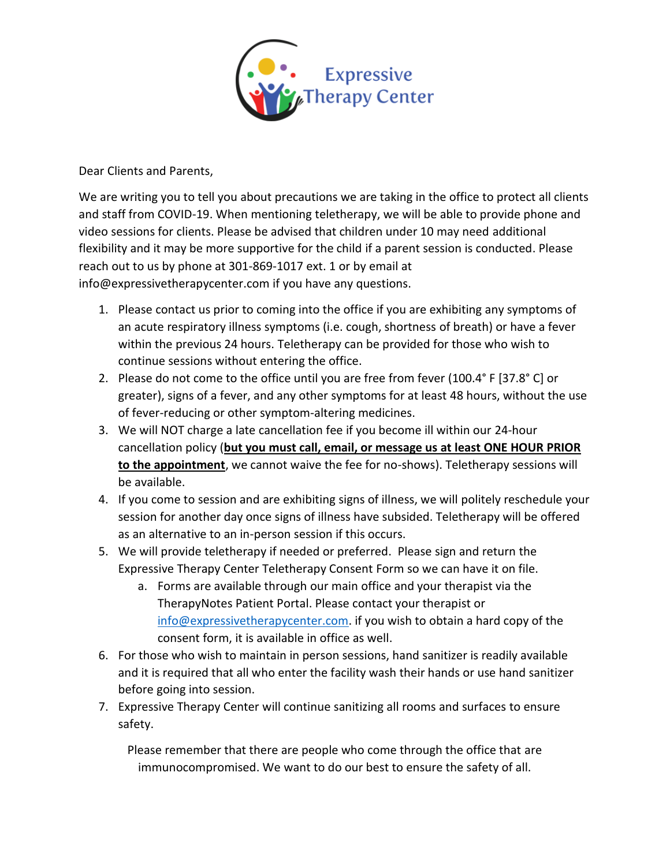

Dear Clients and Parents,

We are writing you to tell you about precautions we are taking in the office to protect all clients and staff from COVID-19. When mentioning teletherapy, we will be able to provide phone and video sessions for clients. Please be advised that children under 10 may need additional flexibility and it may be more supportive for the child if a parent session is conducted. Please reach out to us by phone at 301-869-1017 ext. 1 or by email at info@expressivetherapycenter.com if you have any questions.

- 1. Please contact us prior to coming into the office if you are exhibiting any symptoms of an acute respiratory illness symptoms (i.e. cough, shortness of breath) or have a fever within the previous 24 hours. Teletherapy can be provided for those who wish to continue sessions without entering the office.
- 2. Please do not come to the office until you are free from fever (100.4° F [37.8° C] or greater), signs of a fever, and any other symptoms for at least 48 hours, without the use of fever-reducing or other symptom-altering medicines.
- 3. We will NOT charge a late cancellation fee if you become ill within our 24-hour cancellation policy (**but you must call, email, or message us at least ONE HOUR PRIOR to the appointment**, we cannot waive the fee for no-shows). Teletherapy sessions will be available.
- 4. If you come to session and are exhibiting signs of illness, we will politely reschedule your session for another day once signs of illness have subsided. Teletherapy will be offered as an alternative to an in-person session if this occurs.
- 5. We will provide teletherapy if needed or preferred. Please sign and return the Expressive Therapy Center Teletherapy Consent Form so we can have it on file.
	- a. Forms are available through our main office and your therapist via the TherapyNotes Patient Portal. Please contact your therapist or [info@expressivetherapycenter.com.](mailto:info@expressivetherapycenter.com) if you wish to obtain a hard copy of the consent form, it is available in office as well.
- 6. For those who wish to maintain in person sessions, hand sanitizer is readily available and it is required that all who enter the facility wash their hands or use hand sanitizer before going into session.
- 7. Expressive Therapy Center will continue sanitizing all rooms and surfaces to ensure safety.

Please remember that there are people who come through the office that are immunocompromised. We want to do our best to ensure the safety of all.